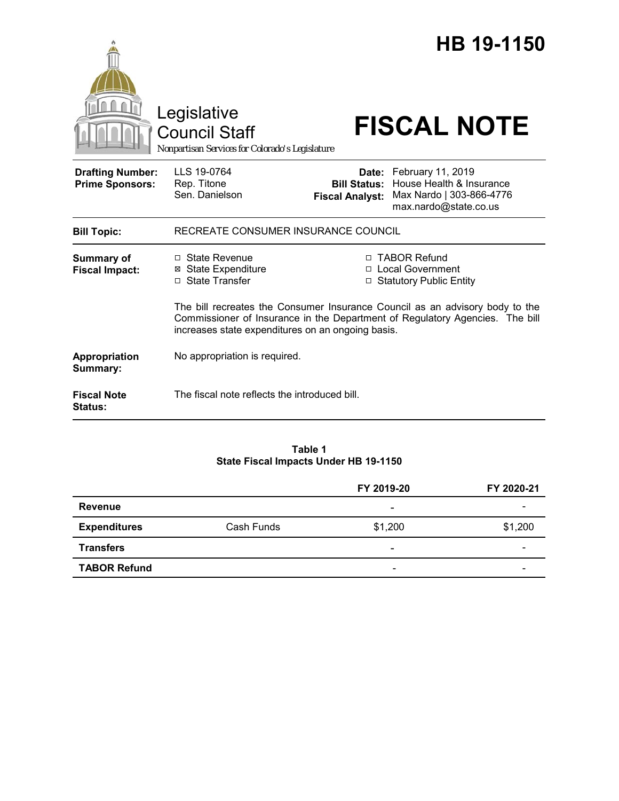|                                                   | Legislative<br><b>Council Staff</b><br>Nonpartisan Services for Colorado's Legislature                                                                                                                            |                                               | HB 19-1150<br><b>FISCAL NOTE</b>                                                                         |  |
|---------------------------------------------------|-------------------------------------------------------------------------------------------------------------------------------------------------------------------------------------------------------------------|-----------------------------------------------|----------------------------------------------------------------------------------------------------------|--|
| <b>Drafting Number:</b><br><b>Prime Sponsors:</b> | LLS 19-0764<br>Rep. Titone<br>Sen. Danielson                                                                                                                                                                      | <b>Bill Status:</b><br><b>Fiscal Analyst:</b> | Date: February 11, 2019<br>House Health & Insurance<br>Max Nardo   303-866-4776<br>max.nardo@state.co.us |  |
| <b>Bill Topic:</b>                                | RECREATE CONSUMER INSURANCE COUNCIL                                                                                                                                                                               |                                               |                                                                                                          |  |
| <b>Summary of</b><br><b>Fiscal Impact:</b>        | $\Box$ State Revenue<br><b>State Expenditure</b><br>⊠<br>□ State Transfer                                                                                                                                         | П.                                            | □ TABOR Refund<br><b>Local Government</b><br>□ Statutory Public Entity                                   |  |
|                                                   | The bill recreates the Consumer Insurance Council as an advisory body to the<br>Commissioner of Insurance in the Department of Regulatory Agencies. The bill<br>increases state expenditures on an ongoing basis. |                                               |                                                                                                          |  |
| Appropriation<br>Summary:                         | No appropriation is required.                                                                                                                                                                                     |                                               |                                                                                                          |  |
| <b>Fiscal Note</b><br>Status:                     | The fiscal note reflects the introduced bill.                                                                                                                                                                     |                                               |                                                                                                          |  |

#### **Table 1 State Fiscal Impacts Under HB 19-1150**

|                     |            | FY 2019-20               | FY 2020-21 |
|---------------------|------------|--------------------------|------------|
| <b>Revenue</b>      |            | ٠                        |            |
| <b>Expenditures</b> | Cash Funds | \$1,200                  | \$1,200    |
| <b>Transfers</b>    |            | -                        |            |
| <b>TABOR Refund</b> |            | $\overline{\phantom{a}}$ |            |